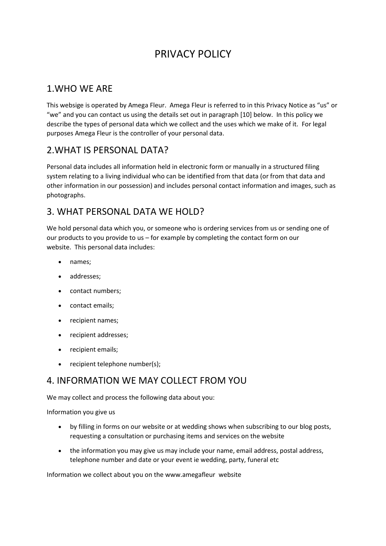# PRIVACY POLICY

## 1.WHO WE ARE

This websige is operated by Amega Fleur. Amega Fleur is referred to in this Privacy Notice as "us" or "we" and you can contact us using the details set out in paragraph [10] below. In this policy we describe the types of personal data which we collect and the uses which we make of it. For legal purposes Amega Fleur is the controller of your personal data.

## 2.WHAT IS PERSONAL DATA?

Personal data includes all information held in electronic form or manually in a structured filing system relating to a living individual who can be identified from that data (or from that data and other information in our possession) and includes personal contact information and images, such as photographs.

## 3. WHAT PERSONAL DATA WE HOLD?

We hold personal data which you, or someone who is ordering services from us or sending one of our products to you provide to us – for example by completing the contact form on our website. This personal data includes:

- names;
- addresses;
- contact numbers;
- contact emails;
- recipient names;
- recipient addresses;
- recipient emails;
- recipient telephone number(s);

# 4. INFORMATION WE MAY COLLECT FROM YOU

We may collect and process the following data about you:

Information you give us

- by filling in forms on our website or at wedding shows when subscribing to our blog posts, requesting a consultation or purchasing items and services on the website
- the information you may give us may include your name, email address, postal address, telephone number and date or your event ie wedding, party, funeral etc

Information we collect about you on the www.amegafleur website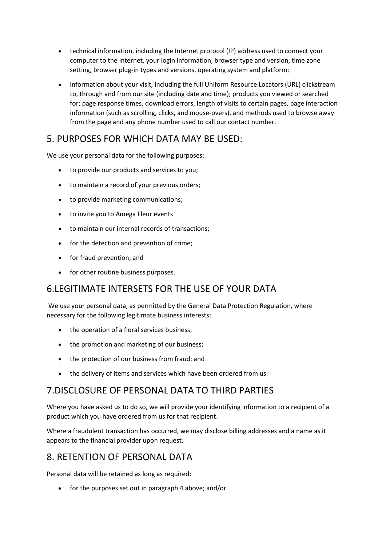- technical information, including the Internet protocol (IP) address used to connect your computer to the Internet, your login information, browser type and version, time zone setting, browser plug-in types and versions, operating system and platform;
- information about your visit, including the full Uniform Resource Locators (URL) clickstream to, through and from our site (including date and time); products you viewed or searched for; page response times, download errors, length of visits to certain pages, page interaction information (such as scrolling, clicks, and mouse-overs). and methods used to browse away from the page and any phone number used to call our contact number.

## 5. PURPOSES FOR WHICH DATA MAY BE USED:

We use your personal data for the following purposes:

- to provide our products and services to you;
- to maintain a record of your previous orders;
- to provide marketing communications;
- to invite you to Amega Fleur events
- to maintain our internal records of transactions;
- for the detection and prevention of crime;
- for fraud prevention; and
- for other routine business purposes.

#### 6.LEGITIMATE INTERSETS FOR THE USE OF YOUR DATA

We use your personal data, as permitted by the General Data Protection Regulation, where necessary for the following legitimate business interests:

- the operation of a floral services business;
- the promotion and marketing of our business;
- the protection of our business from fraud; and
- the delivery of items and services which have been ordered from us.

# **7. DISCLOSURE OF PERSONAL DATA TO THIRD PARTIES**

Where you have asked us to do so, we will provide your identifying information to a recipient of a product which you have ordered from us for that recipient.

Where a fraudulent transaction has occurred, we may disclose billing addresses and a name as it appears to the financial provider upon request.

# 8. RETENTION OF PERSONAL DATA

Personal data will be retained as long as required:

• for the purposes set out in paragraph 4 above; and/or